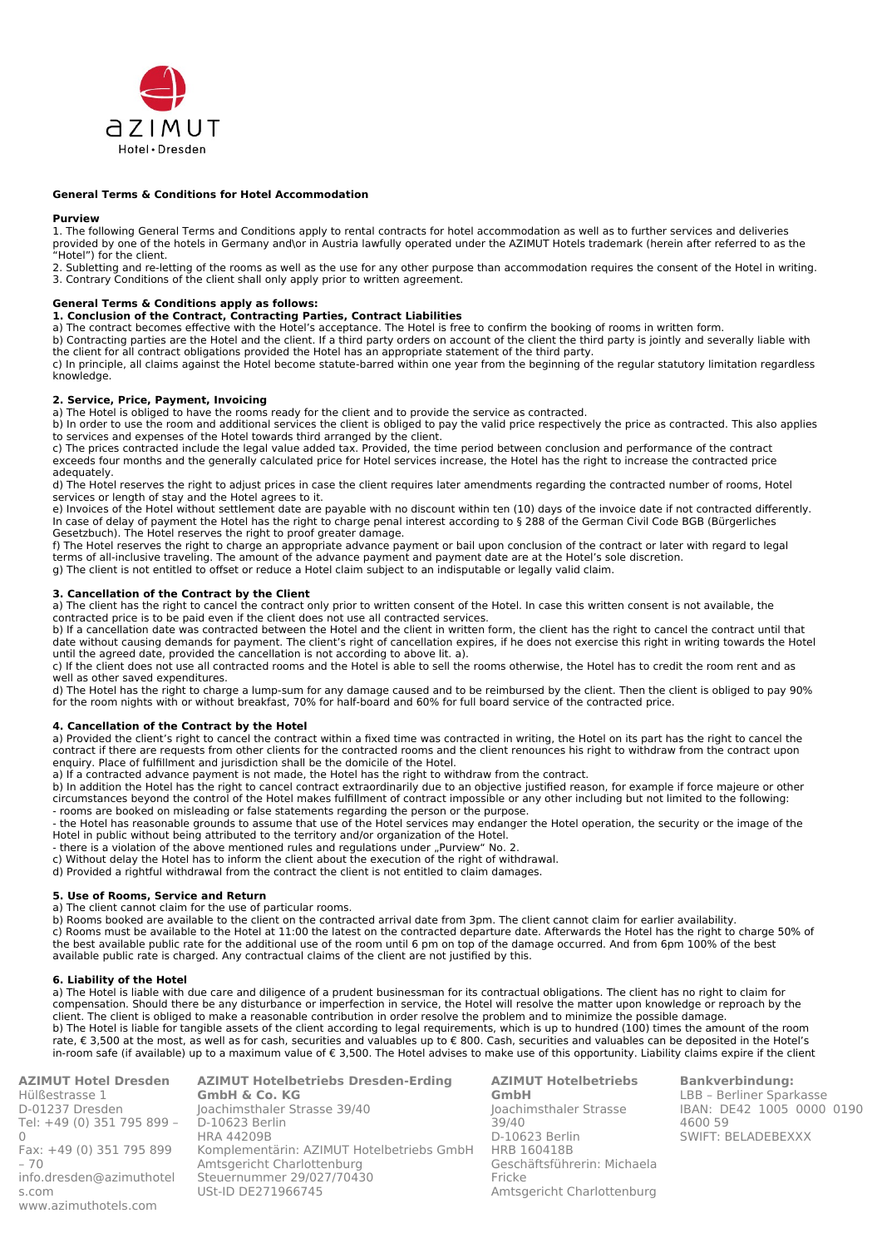

### **General Terms & Conditions for Hotel Accommodation**

### **Purview**

1. The following General Terms and Conditions apply to rental contracts for hotel accommodation as well as to further services and deliveries provided by one of the hotels in Germany and\or in Austria lawfully operated under the AZIMUT Hotels trademark (herein after referred to as the "Hotel") for the client.

2. Subletting and re-letting of the rooms as well as the use for any other purpose than accommodation requires the consent of the Hotel in writing. 3. Contrary Conditions of the client shall only apply prior to written agreement.

## **General Terms & Conditions apply as follows:**

# **1. Conclusion of the Contract, Contracting Parties, Contract Liabilities**

a) The contract becomes effective with the Hotel's acceptance. The Hotel is free to confirm the booking of rooms in written form.

b) Contracting parties are the Hotel and the client. If a third party orders on account of the client the third party is jointly and severally liable with the client for all contract obligations provided the Hotel has an appropriate statement of the third party.

c) In principle, all claims against the Hotel become statute-barred within one year from the beginning of the regular statutory limitation regardless knowledge.

### **2. Service, Price, Payment, Invoicing**

a) The Hotel is obliged to have the rooms ready for the client and to provide the service as contracted.

b) In order to use the room and additional services the client is obliged to pay the valid price respectively the price as contracted. This also applies to services and expenses of the Hotel towards third arranged by the client.

c) The prices contracted include the legal value added tax. Provided, the time period between conclusion and performance of the contract exceeds four months and the generally calculated price for Hotel services increase, the Hotel has the right to increase the contracted price adequately.

d) The Hotel reserves the right to adjust prices in case the client requires later amendments regarding the contracted number of rooms, Hotel services or length of stay and the Hotel agrees to it.

e) Invoices of the Hotel without settlement date are payable with no discount within ten (10) days of the invoice date if not contracted differently. In case of delay of payment the Hotel has the right to charge penal interest according to § 288 of the German Civil Code BGB (Bürgerliches Gesetzbuch). The Hotel reserves the right to proof greater damage.

f) The Hotel reserves the right to charge an appropriate advance payment or bail upon conclusion of the contract or later with regard to legal terms of all-inclusive traveling. The amount of the advance payment and payment date are at the Hotel's sole discretion.

g) The client is not entitled to offset or reduce a Hotel claim subject to an indisputable or legally valid claim.

### **3. Cancellation of the Contract by the Client**

a) The client has the right to cancel the contract only prior to written consent of the Hotel. In case this written consent is not available, the contracted price is to be paid even if the client does not use all contracted services.

b) If a cancellation date was contracted between the Hotel and the client in written form, the client has the right to cancel the contract until that date without causing demands for payment. The client's right of cancellation expires, if he does not exercise this right in writing towards the Hotel until the agreed date, provided the cancellation is not according to above lit. a).

c) If the client does not use all contracted rooms and the Hotel is able to sell the rooms otherwise, the Hotel has to credit the room rent and as well as other saved expenditures.

d) The Hotel has the right to charge a lump-sum for any damage caused and to be reimbursed by the client. Then the client is obliged to pay 90% for the room nights with or without breakfast, 70% for half-board and 60% for full board service of the contracted price.

# **4. Cancellation of the Contract by the Hotel**

a) Provided the client's right to cancel the contract within a fixed time was contracted in writing, the Hotel on its part has the right to cancel the contract if there are requests from other clients for the contracted rooms and the client renounces his right to withdraw from the contract upon enquiry. Place of fulfillment and jurisdiction shall be the domicile of the Hotel.

a) If a contracted advance payment is not made, the Hotel has the right to withdraw from the contract.

b) In addition the Hotel has the right to cancel contract extraordinarily due to an objective justified reason, for example if force majeure or other circumstances beyond the control of the Hotel makes fulfillment of contract impossible or any other including but not limited to the following: - rooms are booked on misleading or false statements regarding the person or the purpose.

- the Hotel has reasonable grounds to assume that use of the Hotel services may endanger the Hotel operation, the security or the image of the Hotel in public without being attributed to the territory and/or organization of the Hotel.

- there is a violation of the above mentioned rules and regulations under "Purview" No. 2.

c) Without delay the Hotel has to inform the client about the execution of the right of withdrawal.

d) Provided a rightful withdrawal from the contract the client is not entitled to claim damages.

### **5. Use of Rooms, Service and Return**

a) The client cannot claim for the use of particular rooms.

b) Rooms booked are available to the client on the contracted arrival date from 3pm. The client cannot claim for earlier availability.

c) Rooms must be available to the Hotel at 11:00 the latest on the contracted departure date. Afterwards the Hotel has the right to charge 50% of the best available public rate for the additional use of the room until 6 pm on top of the damage occurred. And from 6pm 100% of the best available public rate is charged. Any contractual claims of the client are not justified by this.

# **6. Liability of the Hotel**

a) The Hotel is liable with due care and diligence of a prudent businessman for its contractual obligations. The client has no right to claim for compensation. Should there be any disturbance or imperfection in service, the Hotel will resolve the matter upon knowledge or reproach by the client. The client is obliged to make a reasonable contribution in order resolve the problem and to minimize the possible damage. b) The Hotel is liable for tangible assets of the client according to legal requirements, which is up to hundred (100) times the amount of the room rate, € 3,500 at the most, as well as for cash, securities and valuables up to € 800. Cash, securities and valuables can be deposited in the Hotel's in-room safe (if available) up to a maximum value of € 3,500. The Hotel advises to make use of this opportunity. Liability claims expire if the client

**AZIMUT Hotel Dresden** Hülßestrasse 1 D-01237 Dresden Tel: +49 (0) 351 795 899 –  $\cap$ Fax: +49 (0) 351 795 899  $-70$ [info.dresden@azimuthotel](mailto:info.dresden@azimuthotels.com) [s.](mailto:info.dresden@azimuthotels.com)com [www.azimuthotels](http://www.azimuthotels.com/).com **AZIMUT Hotelbetriebs Dresden-Erding GmbH & Co. KG** Joachimsthaler Strasse 39/40 D-10623 Berlin HRA 44209B Komplementärin: AZIMUT Hotelbetriebs GmbH Amtsgericht Charlottenburg Steuernummer 29/027/70430 USt-ID DE271966745

**AZIMUT Hotelbetriebs GmbH** Joachimsthaler Strasse 39/40 D-10623 Berlin HRB 160418B Geschäftsführerin: Michaela Fricke Amtsgericht Charlottenburg

**Bankverbindung:** LBB – Berliner Sparkasse IBAN: DE42 1005 0000 0190 4600 59 SWIFT: BELADEBEXXX